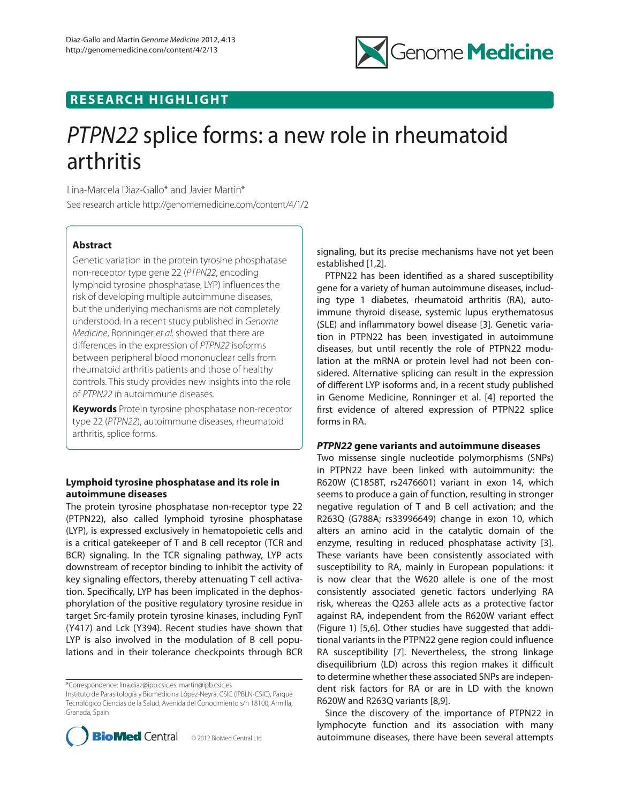

## **RESEARCH HIGHLIGHT**

# *PTPN22* splice forms: a new role in rheumatoid arthritis

Lina-Marcela Diaz-Gallo\* and Javier Martin\* See research article http://genomemedicine.com/content/4/1/2

## **Abstract**

Genetic variation in the protein tyrosine phosphatase non-receptor type gene 22 (*PTPN22*, encoding lymphoid tyrosine phosphatase, LYP) influences the risk of developing multiple autoimmune diseases, but the underlying mechanisms are not completely understood. In a recent study published in *Genome Medicine*, Ronninger *et al.*showed that there are differences in the expression of *PTPN22* isoforms between peripheral blood mononuclear cells from rheumatoid arthritis patients and those of healthy controls. This study provides new insights into the role of *PTPN22* in autoimmune diseases.

**Keywords** Protein tyrosine phosphatase non-receptor type 22 (*PTPN22*), autoimmune diseases, rheumatoid arthritis, splice forms.

## **Lymphoid tyrosine phosphatase and its role in autoimmune diseases**

The protein tyrosine phosphatase non-receptor type 22 (PTPN22), also called lymphoid tyrosine phosphatase (LYP), is expressed exclusively in hematopoietic cells and is a critical gatekeeper of T and B cell receptor (TCR and BCR) signaling. In the TCR signaling pathway, LYP acts downstream of receptor binding to inhibit the activity of key signaling effectors, thereby attenuating T cell activation. Specifically, LYP has been implicated in the dephosphorylation of the positive regulatory tyrosine residue in target Src-family protein tyrosine kinases, including FynT (Y417) and Lck (Y394). Recent studies have shown that LYP is also involved in the modulation of B cell populations and in their tolerance checkpoints through BCR

\*Correspondence: lina.diaz@ipb.csic.es, martin@ipb.csic.es

Instituto de Parasitología y Biomedicina López-Neyra, CSIC (IPBLN-CSIC), Parque Tecnológico Ciencias de la Salud, Avenida del Conocimiento s/n 18100, Armilla, Granada, Spain



signaling, but its precise mechanisms have not yet been established [1,2].

PTPN22 has been identified as a shared susceptibility gene for a variety of human autoimmune diseases, including type 1 diabetes, rheumatoid arthritis (RA), autoimmune thyroid disease, systemic lupus erythematosus (SLE) and inflammatory bowel disease [3]. Genetic variation in PTPN22 has been investigated in autoimmune diseases, but until recently the role of PTPN22 modulation at the mRNA or protein level had not been considered. Alternative splicing can result in the expression of different LYP isoforms and, in a recent study published in Genome Medicine, Ronninger et al. [4] reported the first evidence of altered expression of PTPN22 splice forms in RA.

## *PTPN22* **gene variants and autoimmune diseases**

Two missense single nucleotide polymorphisms (SNPs) in PTPN22 have been linked with autoimmunity: the R620W (C1858T, rs2476601) variant in exon 14, which seems to produce a gain of function, resulting in stronger negative regulation of T and B cell activation; and the R263Q (G788A; rs33996649) change in exon 10, which alters an amino acid in the catalytic domain of the enzyme, resulting in reduced phosphatase activity [3]. These variants have been consistently associated with susceptibility to RA, mainly in European populations: it is now clear that the W620 allele is one of the most consistently associated genetic factors underlying RA risk, whereas the Q263 allele acts as a protective factor against RA, independent from the R620W variant effect (Figure 1) [5,6]. Other studies have suggested that additional variants in the PTPN22 gene region could influence RA susceptibility [7]. Nevertheless, the strong linkage disequilibrium (LD) across this region makes it difficult to determine whether these associated SNPs are independent risk factors for RA or are in LD with the known R620W and R263Q variants [8,9].

Since the discovery of the importance of PTPN22 in lymphocyte function and its association with many autoimmune diseases, there have been several attempts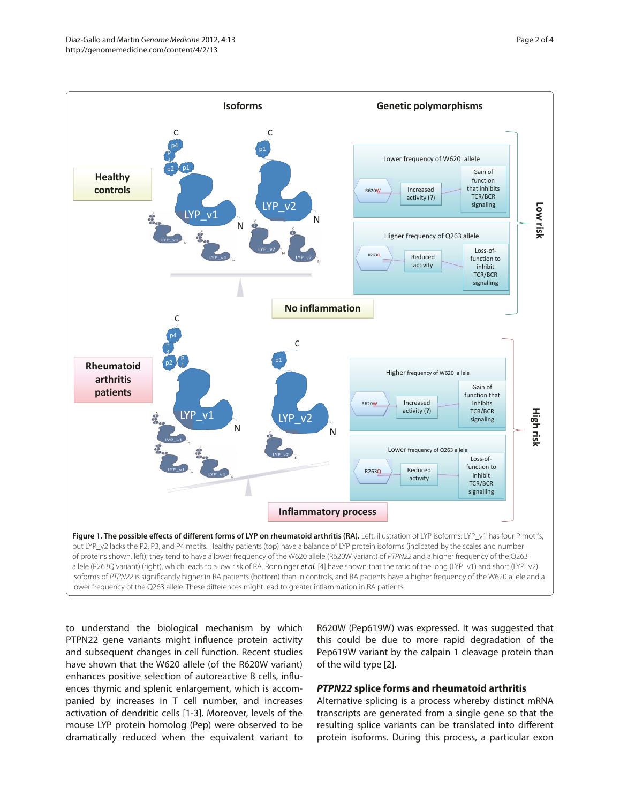

to understand the biological mechanism by which PTPN22 gene variants might influence protein activity and subsequent changes in cell function. Recent studies have shown that the W620 allele (of the R620W variant) enhances positive selection of autoreactive B cells, influences thymic and splenic enlargement, which is accompanied by increases in T cell number, and increases activation of dendritic cells [1-3]. Moreover, levels of the mouse LYP protein homolog (Pep) were observed to be dramatically reduced when the equivalent variant to

R620W (Pep619W) was expressed. It was suggested that this could be due to more rapid degradation of the Pep619W variant by the calpain 1 cleavage protein than of the wild type [2].

## *PTPN22* **splice forms and rheumatoid arthritis**

Alternative splicing is a process whereby distinct mRNA transcripts are generated from a single gene so that the resulting splice variants can be translated into different protein isoforms. During this process, a particular exon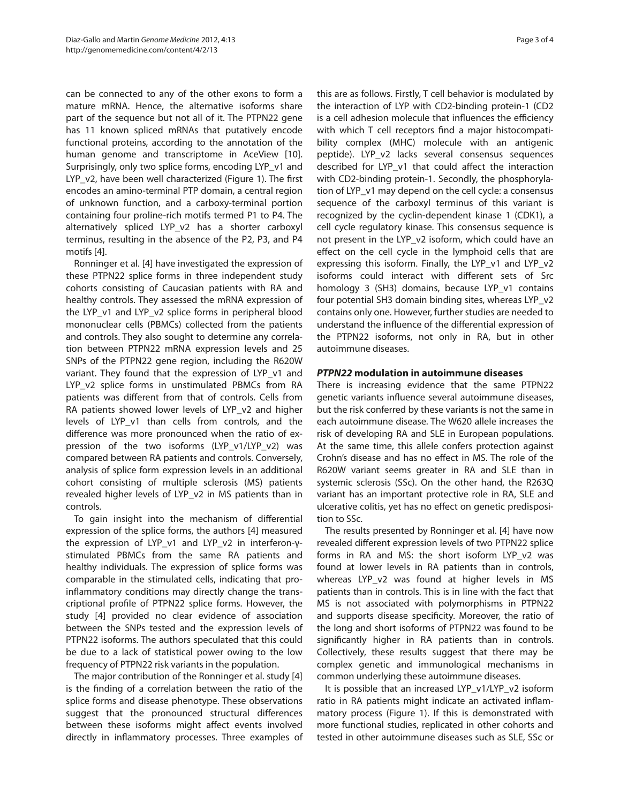can be connected to any of the other exons to form a mature mRNA. Hence, the alternative isoforms share part of the sequence but not all of it. The PTPN22 gene has 11 known spliced mRNAs that putatively encode functional proteins, according to the annotation of the human genome and transcriptome in AceView [10]. Surprisingly, only two splice forms, encoding LYP\_v1 and LYP v2, have been well characterized (Figure 1). The first encodes an amino-terminal PTP domain, a central region of unknown function, and a carboxy-terminal portion containing four proline-rich motifs termed P1 to P4. The alternatively spliced LYP\_v2 has a shorter carboxyl terminus, resulting in the absence of the P2, P3, and P4 motifs [4].

Ronninger et al. [4] have investigated the expression of these PTPN22 splice forms in three independent study cohorts consisting of Caucasian patients with RA and healthy controls. They assessed the mRNA expression of the LYP\_v1 and LYP\_v2 splice forms in peripheral blood mononuclear cells (PBMCs) collected from the patients and controls. They also sought to determine any correlation between PTPN22 mRNA expression levels and 25 SNPs of the PTPN22 gene region, including the R620W variant. They found that the expression of LYP\_v1 and LYP v2 splice forms in unstimulated PBMCs from RA patients was different from that of controls. Cells from RA patients showed lower levels of LYP v2 and higher levels of LYP\_v1 than cells from controls, and the difference was more pronounced when the ratio of expression of the two isoforms (LYP\_v1/LYP\_v2) was compared between RA patients and controls. Conversely, analysis of splice form expression levels in an additional cohort consisting of multiple sclerosis (MS) patients revealed higher levels of LYP\_v2 in MS patients than in controls.

To gain insight into the mechanism of differential expression of the splice forms, the authors [4] measured the expression of LYP\_v1 and LYP\_v2 in interferon-γstimulated PBMCs from the same RA patients and healthy individuals. The expression of splice forms was comparable in the stimulated cells, indicating that proinflammatory conditions may directly change the transcriptional profile of PTPN22 splice forms. However, the study [4] provided no clear evidence of association between the SNPs tested and the expression levels of PTPN22 isoforms. The authors speculated that this could be due to a lack of statistical power owing to the low frequency of PTPN22 risk variants in the population.

The major contribution of the Ronninger et al. study [4] is the finding of a correlation between the ratio of the splice forms and disease phenotype. These observations suggest that the pronounced structural differences between these isoforms might affect events involved directly in inflammatory processes. Three examples of this are as follows. Firstly, T cell behavior is modulated by the interaction of LYP with CD2-binding protein-1 (CD2 is a cell adhesion molecule that influences the efficiency with which T cell receptors find a major histocompatibility complex (MHC) molecule with an antigenic peptide). LYP\_v2 lacks several consensus sequences described for LYP\_v1 that could affect the interaction with CD2-binding protein-1. Secondly, the phosphorylation of LYP\_v1 may depend on the cell cycle: a consensus sequence of the carboxyl terminus of this variant is recognized by the cyclin-dependent kinase 1 (CDK1), a cell cycle regulatory kinase. This consensus sequence is not present in the LYP\_v2 isoform, which could have an effect on the cell cycle in the lymphoid cells that are expressing this isoform. Finally, the LYP\_v1 and LYP\_v2 isoforms could interact with different sets of Src homology 3 (SH3) domains, because LYP\_v1 contains four potential SH3 domain binding sites, whereas LYP\_v2 contains only one. However, further studies are needed to understand the influence of the differential expression of the PTPN22 isoforms, not only in RA, but in other autoimmune diseases.

## *PTPN22* **modulation in autoimmune diseases**

There is increasing evidence that the same PTPN22 genetic variants influence several autoimmune diseases, but the risk conferred by these variants is not the same in each autoimmune disease. The W620 allele increases the risk of developing RA and SLE in European populations. At the same time, this allele confers protection against Crohn's disease and has no effect in MS. The role of the R620W variant seems greater in RA and SLE than in systemic sclerosis (SSc). On the other hand, the R263Q variant has an important protective role in RA, SLE and ulcerative colitis, yet has no effect on genetic predisposition to SSc.

The results presented by Ronninger et al. [4] have now revealed different expression levels of two PTPN22 splice forms in RA and MS: the short isoform LYP\_v2 was found at lower levels in RA patients than in controls, whereas LYP\_v2 was found at higher levels in MS patients than in controls. This is in line with the fact that MS is not associated with polymorphisms in PTPN22 and supports disease specificity. Moreover, the ratio of the long and short isoforms of PTPN22 was found to be significantly higher in RA patients than in controls. Collectively, these results suggest that there may be complex genetic and immunological mechanisms in common underlying these autoimmune diseases.

It is possible that an increased LYP\_v1/LYP\_v2 isoform ratio in RA patients might indicate an activated inflammatory process (Figure 1). If this is demonstrated with more functional studies, replicated in other cohorts and tested in other autoimmune diseases such as SLE, SSc or